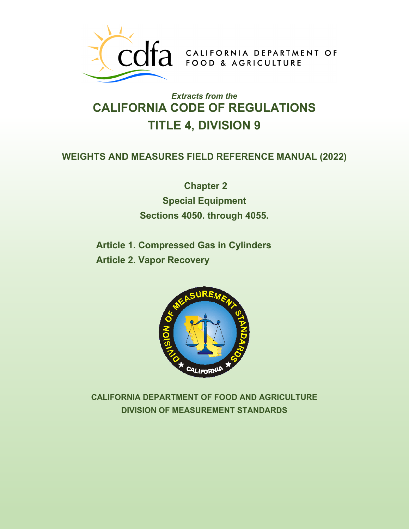

COTA CALIFORNIA DEPARTMENT OF

# *Extracts from the* **CALIFORNIA CODE OF REGULATIONS TITLE 4, DIVISION 9**

# **WEIGHTS AND MEASURES FIELD REFERENCE MANUAL (2022)**

**Chapter 2 Special Equipment Sections 4050. through 4055.** 

**Article 1. Compressed Gas in Cylinders Article 2. Vapor Recovery**



**CALIFORNIA DEPARTMENT OF FOOD AND AGRICULTURE DIVISION OF MEASUREMENT STANDARDS**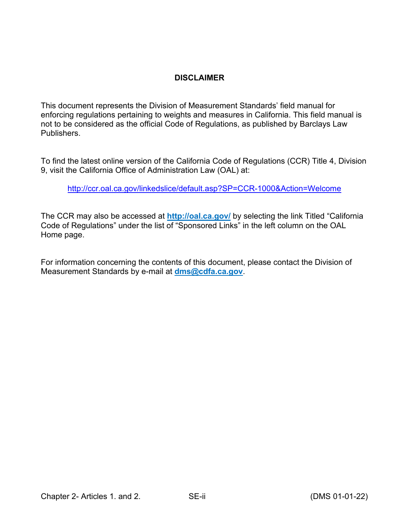#### **DISCLAIMER**

This document represents the Division of Measurement Standards' field manual for enforcing regulations pertaining to weights and measures in California. This field manual is not to be considered as the official Code of Regulations, as published by Barclays Law Publishers.

To find the latest online version of the California Code of Regulations (CCR) Title 4, Division 9, visit the California Office of Administration Law (OAL) at:

<http://ccr.oal.ca.gov/linkedslice/default.asp?SP=CCR-1000&Action=Welcome>

The CCR may also be accessed at **<http://oal.ca.gov/>** by selecting the link Titled "California Code of Regulations" under the list of "Sponsored Links" in the left column on the OAL Home page.

For information concerning the contents of this document, please contact the Division of Measurement Standards by e-mail at **[dms@cdfa.ca.gov](mailto:dms@cdfa.ca.gov)**.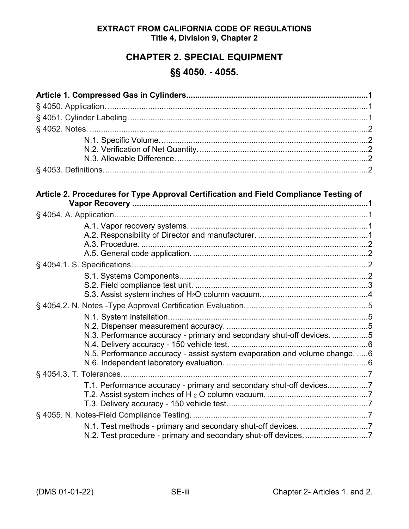#### **EXTRACT FROM CALIFORNIA CODE OF REGULATIONS Title 4, Division 9, Chapter 2**

# **CHAPTER 2. SPECIAL EQUIPMENT §§ 4050. - 4055.**

| Article 2. Procedures for Type Approval Certification and Field Compliance Testing of |  |
|---------------------------------------------------------------------------------------|--|
|                                                                                       |  |
|                                                                                       |  |
|                                                                                       |  |
|                                                                                       |  |
|                                                                                       |  |
|                                                                                       |  |
|                                                                                       |  |
|                                                                                       |  |
|                                                                                       |  |
|                                                                                       |  |
|                                                                                       |  |
|                                                                                       |  |
| N.3. Performance accuracy - primary and secondary shut-off devices. 5                 |  |
|                                                                                       |  |
| N.5. Performance accuracy - assist system evaporation and volume change. 6            |  |
|                                                                                       |  |
|                                                                                       |  |
| T.1. Performance accuracy - primary and secondary shut-off devices7                   |  |
|                                                                                       |  |
|                                                                                       |  |
|                                                                                       |  |
| N.1. Test methods - primary and secondary shut-off devices. 7                         |  |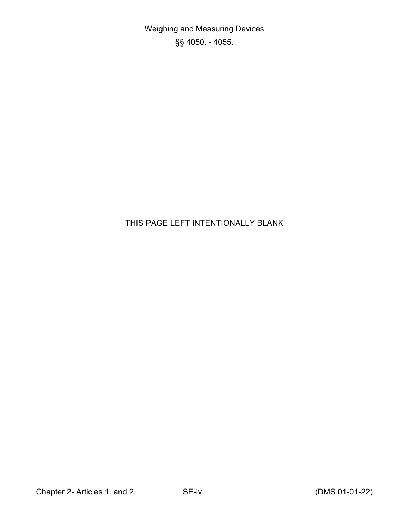Weighing and Measuring Devices §§ 4050. - 4055.

# THIS PAGE LEFT INTENTIONALLY BLANK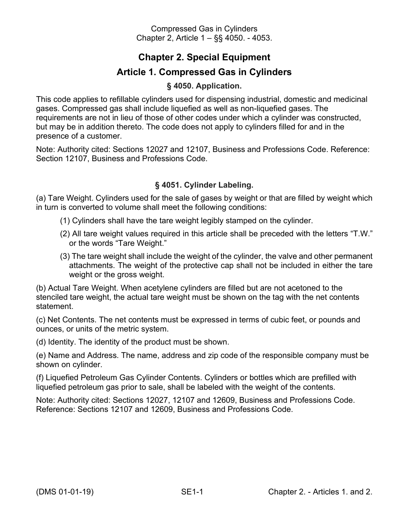# **Chapter 2. Special Equipment**

# **Article 1. Compressed Gas in Cylinders**

# **§ 4050. Application.**

<span id="page-4-1"></span><span id="page-4-0"></span>This code applies to refillable cylinders used for dispensing industrial, domestic and medicinal gases. Compressed gas shall include liquefied as well as non-liquefied gases. The requirements are not in lieu of those of other codes under which a cylinder was constructed, but may be in addition thereto. The code does not apply to cylinders filled for and in the presence of a customer.

Note: Authority cited: Sections 12027 and 12107, Business and Professions Code. Reference: Section 12107, Business and Professions Code.

# **§ 4051. Cylinder Labeling.**

<span id="page-4-2"></span>(a) Tare Weight. Cylinders used for the sale of gases by weight or that are filled by weight which in turn is converted to volume shall meet the following conditions:

- (1) Cylinders shall have the tare weight legibly stamped on the cylinder.
- (2) All tare weight values required in this article shall be preceded with the letters "T.W." or the words "Tare Weight."
- (3) The tare weight shall include the weight of the cylinder, the valve and other permanent attachments. The weight of the protective cap shall not be included in either the tare weight or the gross weight.

(b) Actual Tare Weight. When acetylene cylinders are filled but are not acetoned to the stenciled tare weight, the actual tare weight must be shown on the tag with the net contents statement.

(c) Net Contents. The net contents must be expressed in terms of cubic feet, or pounds and ounces, or units of the metric system.

(d) Identity. The identity of the product must be shown.

(e) Name and Address. The name, address and zip code of the responsible company must be shown on cylinder.

(f) Liquefied Petroleum Gas Cylinder Contents. Cylinders or bottles which are prefilled with liquefied petroleum gas prior to sale, shall be labeled with the weight of the contents.

Note: Authority cited: Sections 12027, 12107 and 12609, Business and Professions Code. Reference: Sections 12107 and 12609, Business and Professions Code.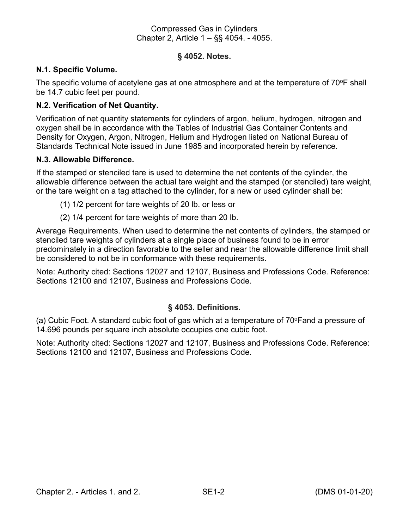#### Compressed Gas in Cylinders Chapter 2, Article 1 – §§ 4054. - 4055.

## **§ 4052. Notes.**

#### <span id="page-5-1"></span><span id="page-5-0"></span>**N.1. Specific Volume.**

The specific volume of acetylene gas at one atmosphere and at the temperature of  $70^{\circ}$ F shall be 14.7 cubic feet per pound.

#### <span id="page-5-2"></span>**N.2. Verification of Net Quantity.**

Verification of net quantity statements for cylinders of argon, helium, hydrogen, nitrogen and oxygen shall be in accordance with the Tables of Industrial Gas Container Contents and Density for Oxygen, Argon, Nitrogen, Helium and Hydrogen listed on National Bureau of Standards Technical Note issued in June 1985 and incorporated herein by reference.

#### <span id="page-5-3"></span>**N.3. Allowable Difference.**

If the stamped or stenciled tare is used to determine the net contents of the cylinder, the allowable difference between the actual tare weight and the stamped (or stenciled) tare weight, or the tare weight on a tag attached to the cylinder, for a new or used cylinder shall be:

- (1) 1/2 percent for tare weights of 20 lb. or less or
- (2) 1/4 percent for tare weights of more than 20 lb.

Average Requirements. When used to determine the net contents of cylinders, the stamped or stenciled tare weights of cylinders at a single place of business found to be in error predominately in a direction favorable to the seller and near the allowable difference limit shall be considered to not be in conformance with these requirements.

Note: Authority cited: Sections 12027 and 12107, Business and Professions Code. Reference: Sections 12100 and 12107, Business and Professions Code.

### **§ 4053. Definitions.**

<span id="page-5-4"></span>(a) Cubic Foot. A standard cubic foot of gas which at a temperature of  $70^{\circ}$ Fand a pressure of 14.696 pounds per square inch absolute occupies one cubic foot.

Note: Authority cited: Sections 12027 and 12107, Business and Professions Code. Reference: Sections 12100 and 12107, Business and Professions Code.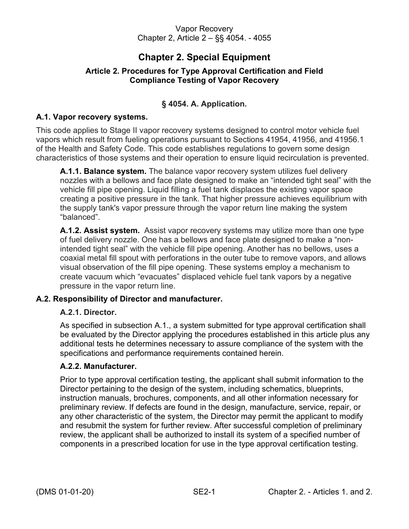#### Vapor Recovery Chapter 2, Article 2 – §§ 4054. - 4055

# **Chapter 2. Special Equipment**

### **Article 2. Procedures for Type Approval Certification and Field Compliance Testing of Vapor Recovery**

# **§ 4054. A. Application.**

### <span id="page-6-2"></span><span id="page-6-1"></span><span id="page-6-0"></span>**A.1. Vapor recovery systems.**

This code applies to Stage II vapor recovery systems designed to control motor vehicle fuel vapors which result from fueling operations pursuant to Sections 41954, 41956, and 41956.1 of the Health and Safety Code. This code establishes regulations to govern some design characteristics of those systems and their operation to ensure liquid recirculation is prevented.

**A.1.1. Balance system.** The balance vapor recovery system utilizes fuel delivery nozzles with a bellows and face plate designed to make an "intended tight seal" with the vehicle fill pipe opening. Liquid filling a fuel tank displaces the existing vapor space creating a positive pressure in the tank. That higher pressure achieves equilibrium with the supply tank's vapor pressure through the vapor return line making the system "balanced".

**A.1.2. Assist system.** Assist vapor recovery systems may utilize more than one type of fuel delivery nozzle. One has a bellows and face plate designed to make a "nonintended tight seal" with the vehicle fill pipe opening. Another has no bellows, uses a coaxial metal fill spout with perforations in the outer tube to remove vapors, and allows visual observation of the fill pipe opening. These systems employ a mechanism to create vacuum which "evacuates" displaced vehicle fuel tank vapors by a negative pressure in the vapor return line.

### <span id="page-6-3"></span>**A.2. Responsibility of Director and manufacturer.**

### **A.2.1. Director.**

As specified in subsection A.1., a system submitted for type approval certification shall be evaluated by the Director applying the procedures established in this article plus any additional tests he determines necessary to assure compliance of the system with the specifications and performance requirements contained herein.

#### **A.2.2. Manufacturer.**

Prior to type approval certification testing, the applicant shall submit information to the Director pertaining to the design of the system, including schematics, blueprints, instruction manuals, brochures, components, and all other information necessary for preliminary review. If defects are found in the design, manufacture, service, repair, or any other characteristic of the system, the Director may permit the applicant to modify and resubmit the system for further review. After successful completion of preliminary review, the applicant shall be authorized to install its system of a specified number of components in a prescribed location for use in the type approval certification testing.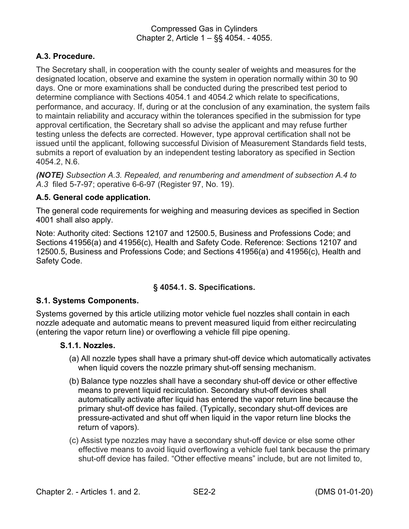Compressed Gas in Cylinders Chapter 2, Article 1 – §§ 4054. - 4055.

## <span id="page-7-0"></span>**A.3. Procedure.**

The Secretary shall, in cooperation with the county sealer of weights and measures for the designated location, observe and examine the system in operation normally within 30 to 90 days. One or more examinations shall be conducted during the prescribed test period to determine compliance with Sections 4054.1 and 4054.2 which relate to specifications, performance, and accuracy. If, during or at the conclusion of any examination, the system fails to maintain reliability and accuracy within the tolerances specified in the submission for type approval certification, the Secretary shall so advise the applicant and may refuse further testing unless the defects are corrected. However, type approval certification shall not be issued until the applicant, following successful Division of Measurement Standards field tests, submits a report of evaluation by an independent testing laboratory as specified in Section 4054.2, N.6.

*(NOTE) Subsection A.3. Repealed, and renumbering and amendment of subsection A.4 to A.3* filed 5-7-97; operative 6-6-97 (Register 97, No. 19).

#### <span id="page-7-1"></span>**A.5. General code application.**

The general code requirements for weighing and measuring devices as specified in Section 4001 shall also apply.

Note: Authority cited: Sections 12107 and 12500.5, Business and Professions Code; and Sections 41956(a) and 41956(c), Health and Safety Code. Reference: Sections 12107 and 12500.5, Business and Professions Code; and Sections 41956(a) and 41956(c), Health and Safety Code.

### **§ 4054.1. S. Specifications.**

### <span id="page-7-3"></span><span id="page-7-2"></span>**S.1. Systems Components.**

Systems governed by this article utilizing motor vehicle fuel nozzles shall contain in each nozzle adequate and automatic means to prevent measured liquid from either recirculating (entering the vapor return line) or overflowing a vehicle fill pipe opening.

#### **S.1.1. Nozzles.**

- (a) All nozzle types shall have a primary shut-off device which automatically activates when liquid covers the nozzle primary shut-off sensing mechanism.
- (b) Balance type nozzles shall have a secondary shut-off device or other effective means to prevent liquid recirculation. Secondary shut-off devices shall automatically activate after liquid has entered the vapor return line because the primary shut-off device has failed. (Typically, secondary shut-off devices are pressure-activated and shut off when liquid in the vapor return line blocks the return of vapors).
- (c) Assist type nozzles may have a secondary shut-off device or else some other effective means to avoid liquid overflowing a vehicle fuel tank because the primary shut-off device has failed. "Other effective means" include, but are not limited to,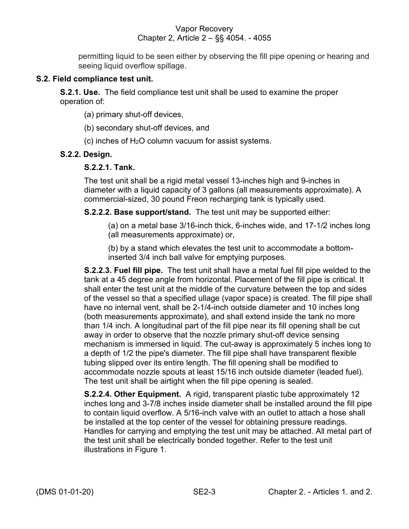#### Vapor Recovery Chapter 2, Article 2 – §§ 4054. - 4055

permitting liquid to be seen either by observing the fill pipe opening or hearing and seeing liquid overflow spillage.

## <span id="page-8-0"></span>**S.2. Field compliance test unit.**

**S.2.1. Use.** The field compliance test unit shall be used to examine the proper operation of:

(a) primary shut-off devices,

- (b) secondary shut-off devices, and
- (c) inches of H2O column vacuum for assist systems.

# **S.2.2. Design.**

# **S.2.2.1. Tank.**

The test unit shall be a rigid metal vessel 13-inches high and 9-inches in diameter with a liquid capacity of 3 gallons (all measurements approximate). A commercial-sized, 30 pound Freon recharging tank is typically used.

**S.2.2.2. Base support/stand.** The test unit may be supported either:

- (a) on a metal base 3/16-inch thick, 6-inches wide, and 17-1/2 inches long (all measurements approximate) or,
- (b) by a stand which elevates the test unit to accommodate a bottominserted 3/4 inch ball valve for emptying purposes.

**S.2.2.3. Fuel fill pipe.** The test unit shall have a metal fuel fill pipe welded to the tank at a 45 degree angle from horizontal. Placement of the fill pipe is critical. It shall enter the test unit at the middle of the curvature between the top and sides of the vessel so that a specified ullage (vapor space) is created. The fill pipe shall have no internal vent, shall be 2-1/4-inch outside diameter and 10 inches long (both measurements approximate), and shall extend inside the tank no more than 1/4 inch. A longitudinal part of the fill pipe near its fill opening shall be cut away in order to observe that the nozzle primary shut-off device sensing mechanism is immersed in liquid. The cut-away is approximately 5 inches long to a depth of 1/2 the pipe's diameter. The fill pipe shall have transparent flexible tubing slipped over its entire length. The fill opening shall be modified to accommodate nozzle spouts at least 15/16 inch outside diameter (leaded fuel). The test unit shall be airtight when the fill pipe opening is sealed.

**S.2.2.4. Other Equipment.** A rigid, transparent plastic tube approximately 12 inches long and 3-7/8 inches inside diameter shall be installed around the fill pipe to contain liquid overflow. A 5/16-inch valve with an outlet to attach a hose shall be installed at the top center of the vessel for obtaining pressure readings. Handles for carrying and emptying the test unit may be attached. All metal part of the test unit shall be electrically bonded together. Refer to the test unit illustrations in Figure 1.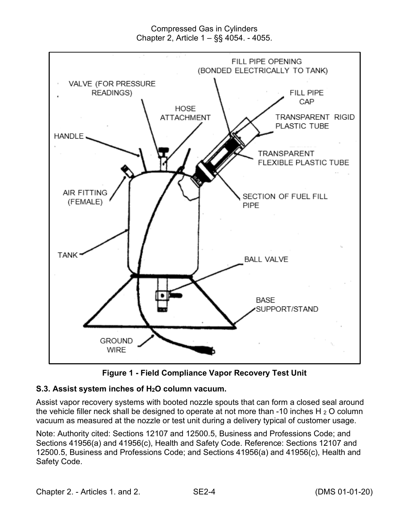Compressed Gas in Cylinders Chapter 2, Article 1 – §§ 4054. - 4055.



**Figure 1 - Field Compliance Vapor Recovery Test Unit**

### <span id="page-9-0"></span>**S.3. Assist system inches of H2O column vacuum.**

Assist vapor recovery systems with booted nozzle spouts that can form a closed seal around the vehicle filler neck shall be designed to operate at not more than -10 inches H  $_2$  O column vacuum as measured at the nozzle or test unit during a delivery typical of customer usage.

Note: Authority cited: Sections 12107 and 12500.5, Business and Professions Code; and Sections 41956(a) and 41956(c), Health and Safety Code. Reference: Sections 12107 and 12500.5, Business and Professions Code; and Sections 41956(a) and 41956(c), Health and Safety Code.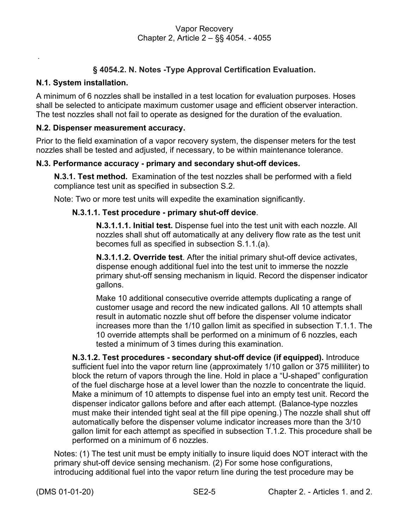# **§ 4054.2. N. Notes -Type Approval Certification Evaluation.**

#### <span id="page-10-1"></span>**N.1. System installation.**

<span id="page-10-0"></span>.

A minimum of 6 nozzles shall be installed in a test location for evaluation purposes. Hoses shall be selected to anticipate maximum customer usage and efficient observer interaction. The test nozzles shall not fail to operate as designed for the duration of the evaluation.

#### <span id="page-10-2"></span>**N.2. Dispenser measurement accuracy.**

Prior to the field examination of a vapor recovery system, the dispenser meters for the test nozzles shall be tested and adjusted, if necessary, to be within maintenance tolerance.

#### <span id="page-10-3"></span>**N.3. Performance accuracy - primary and secondary shut-off devices.**

**N.3.1. Test method.** Examination of the test nozzles shall be performed with a field compliance test unit as specified in subsection S.2.

Note: Two or more test units will expedite the examination significantly.

#### **N.3.1.1. Test procedure - primary shut-off device**.

**N.3.1.1.1. Initial test.** Dispense fuel into the test unit with each nozzle. All nozzles shall shut off automatically at any delivery flow rate as the test unit becomes full as specified in subsection S.1.1.(a).

**N.3.1.1.2. Override test**. After the initial primary shut-off device activates, dispense enough additional fuel into the test unit to immerse the nozzle primary shut-off sensing mechanism in liquid. Record the dispenser indicator gallons.

Make 10 additional consecutive override attempts duplicating a range of customer usage and record the new indicated gallons. All 10 attempts shall result in automatic nozzle shut off before the dispenser volume indicator increases more than the 1/10 gallon limit as specified in subsection T.1.1. The 10 override attempts shall be performed on a minimum of 6 nozzles, each tested a minimum of 3 times during this examination.

**N.3.1.2. Test procedures - secondary shut-off device (if equipped).** Introduce sufficient fuel into the vapor return line (approximately 1/10 gallon or 375 milliliter) to block the return of vapors through the line. Hold in place a "U-shaped" configuration of the fuel discharge hose at a level lower than the nozzle to concentrate the liquid. Make a minimum of 10 attempts to dispense fuel into an empty test unit. Record the dispenser indicator gallons before and after each attempt. (Balance-type nozzles must make their intended tight seal at the fill pipe opening.) The nozzle shall shut off automatically before the dispenser volume indicator increases more than the 3/10 gallon limit for each attempt as specified in subsection T.1.2. This procedure shall be performed on a minimum of 6 nozzles.

Notes: (1) The test unit must be empty initially to insure liquid does NOT interact with the primary shut-off device sensing mechanism. (2) For some hose configurations, introducing additional fuel into the vapor return line during the test procedure may be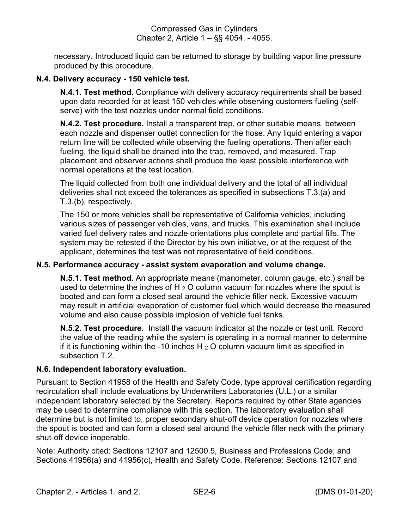#### Compressed Gas in Cylinders Chapter 2, Article 1 – §§ 4054. - 4055.

necessary. Introduced liquid can be returned to storage by building vapor line pressure produced by this procedure.

#### <span id="page-11-0"></span>**N.4. Delivery accuracy - 150 vehicle test.**

**N.4.1. Test method.** Compliance with delivery accuracy requirements shall be based upon data recorded for at least 150 vehicles while observing customers fueling (selfserve) with the test nozzles under normal field conditions.

**N.4.2. Test procedure.** Install a transparent trap, or other suitable means, between each nozzle and dispenser outlet connection for the hose. Any liquid entering a vapor return line will be collected while observing the fueling operations. Then after each fueling, the liquid shall be drained into the trap, removed, and measured. Trap placement and observer actions shall produce the least possible interference with normal operations at the test location.

The liquid collected from both one individual delivery and the total of all individual deliveries shall not exceed the tolerances as specified in subsections T.3.(a) and T.3.(b), respectively.

The 150 or more vehicles shall be representative of California vehicles, including various sizes of passenger vehicles, vans, and trucks. This examination shall include varied fuel delivery rates and nozzle orientations plus complete and partial fills. The system may be retested if the Director by his own initiative, or at the request of the applicant, determines the test was not representative of field conditions.

#### <span id="page-11-1"></span>**N.5. Performance accuracy - assist system evaporation and volume change.**

**N.5.1. Test method.** An appropriate means (manometer, column gauge, etc.) shall be used to determine the inches of H  $_2$  O column vacuum for nozzles where the spout is booted and can form a closed seal around the vehicle filler neck. Excessive vacuum may result in artificial evaporation of customer fuel which would decrease the measured volume and also cause possible implosion of vehicle fuel tanks.

**N.5.2. Test procedure.** Install the vacuum indicator at the nozzle or test unit. Record the value of the reading while the system is operating in a normal manner to determine if it is functioning within the -10 inches H  $_2$  O column vacuum limit as specified in subsection T.2.

#### <span id="page-11-2"></span>**N.6. Independent laboratory evaluation.**

Pursuant to Section 41958 of the Health and Safety Code, type approval certification regarding recirculation shall include evaluations by Underwriters Laboratories (U.L.) or a similar independent laboratory selected by the Secretary. Reports required by other State agencies may be used to determine compliance with this section. The laboratory evaluation shall determine but is not limited to, proper secondary shut-off device operation for nozzles where the spout is booted and can form a closed seal around the vehicle filler neck with the primary shut-off device inoperable.

Note: Authority cited: Sections 12107 and 12500.5, Business and Professions Code; and Sections 41956(a) and 41956(c), Health and Safety Code. Reference: Sections 12107 and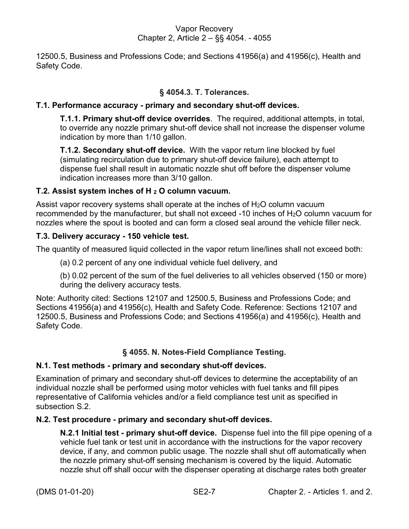#### Vapor Recovery Chapter 2, Article 2 – §§ 4054. - 4055

12500.5, Business and Professions Code; and Sections 41956(a) and 41956(c), Health and Safety Code.

## **§ 4054.3. T. Tolerances.**

### <span id="page-12-1"></span><span id="page-12-0"></span>**T.1. Performance accuracy - primary and secondary shut-off devices.**

**T.1.1. Primary shut-off device overrides**. The required, additional attempts, in total, to override any nozzle primary shut-off device shall not increase the dispenser volume indication by more than 1/10 gallon.

**T.1.2. Secondary shut-off device.** With the vapor return line blocked by fuel (simulating recirculation due to primary shut-off device failure), each attempt to dispense fuel shall result in automatic nozzle shut off before the dispenser volume indication increases more than 3/10 gallon.

#### <span id="page-12-2"></span>**T.2. Assist system inches of H 2 O column vacuum.**

Assist vapor recovery systems shall operate at the inches of H2O column vacuum recommended by the manufacturer, but shall not exceed -10 inches of H2O column vacuum for nozzles where the spout is booted and can form a closed seal around the vehicle filler neck.

#### <span id="page-12-3"></span>**T.3. Delivery accuracy - 150 vehicle test.**

The quantity of measured liquid collected in the vapor return line/lines shall not exceed both:

(a) 0.2 percent of any one individual vehicle fuel delivery, and

(b) 0.02 percent of the sum of the fuel deliveries to all vehicles observed (150 or more) during the delivery accuracy tests.

Note: Authority cited: Sections 12107 and 12500.5, Business and Professions Code; and Sections 41956(a) and 41956(c), Health and Safety Code. Reference: Sections 12107 and 12500.5, Business and Professions Code; and Sections 41956(a) and 41956(c), Health and Safety Code.

### **§ 4055. N. Notes-Field Compliance Testing.**

### <span id="page-12-5"></span><span id="page-12-4"></span>**N.1. Test methods - primary and secondary shut-off devices.**

Examination of primary and secondary shut-off devices to determine the acceptability of an individual nozzle shall be performed using motor vehicles with fuel tanks and fill pipes representative of California vehicles and/or a field compliance test unit as specified in subsection S.2.

#### <span id="page-12-6"></span>**N.2. Test procedure - primary and secondary shut-off devices.**

**N.2.1 Initial test - primary shut-off device.** Dispense fuel into the fill pipe opening of a vehicle fuel tank or test unit in accordance with the instructions for the vapor recovery device, if any, and common public usage. The nozzle shall shut off automatically when the nozzle primary shut-off sensing mechanism is covered by the liquid. Automatic nozzle shut off shall occur with the dispenser operating at discharge rates both greater